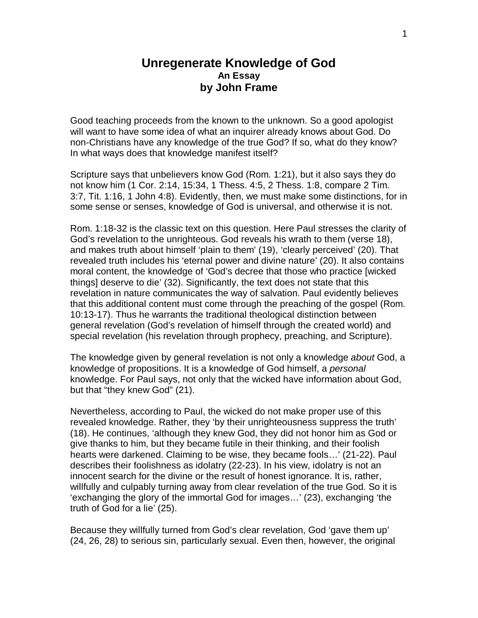## **Unregenerate Knowledge of God An Essay by John Frame**

Good teaching proceeds from the known to the unknown. So a good apologist will want to have some idea of what an inquirer already knows about God. Do non-Christians have any knowledge of the true God? If so, what do they know? In what ways does that knowledge manifest itself?

Scripture says that unbelievers know God (Rom. 1:21), but it also says they do not know him (1 Cor. 2:14, 15:34, 1 Thess. 4:5, 2 Thess. 1:8, compare 2 Tim. 3:7, Tit. 1:16, 1 John 4:8). Evidently, then, we must make some distinctions, for in some sense or senses, knowledge of God is universal, and otherwise it is not.

Rom. 1:18-32 is the classic text on this question. Here Paul stresses the clarity of God's revelation to the unrighteous. God reveals his wrath to them (verse 18), and makes truth about himself 'plain to them' (19), 'clearly perceived' (20). That revealed truth includes his 'eternal power and divine nature' (20). It also contains moral content, the knowledge of 'God's decree that those who practice [wicked things] deserve to die' (32). Significantly, the text does not state that this revelation in nature communicates the way of salvation. Paul evidently believes that this additional content must come through the preaching of the gospel (Rom. 10:13-17). Thus he warrants the traditional theological distinction between general revelation (God's revelation of himself through the created world) and special revelation (his revelation through prophecy, preaching, and Scripture).

The knowledge given by general revelation is not only a knowledge *about* God, a knowledge of propositions. It is a knowledge of God himself, a *personal* knowledge. For Paul says, not only that the wicked have information about God, but that "they knew God" (21).

Nevertheless, according to Paul, the wicked do not make proper use of this revealed knowledge. Rather, they 'by their unrighteousness suppress the truth' (18). He continues, 'although they knew God, they did not honor him as God or give thanks to him, but they became futile in their thinking, and their foolish hearts were darkened. Claiming to be wise, they became fools… ' (21-22). Paul describes their foolishness as idolatry (22-23). In his view, idolatry is not an innocent search for the divine or the result of honest ignorance. It is, rather, willfully and culpably turning away from clear revelation of the true God. So it is 'exchanging the glory of the immortal God for images… ' (23), exchanging 'the truth of God for a lie' (25).

Because they willfully turned from God's clear revelation, God 'gave them up' (24, 26, 28) to serious sin, particularly sexual. Even then, however, the original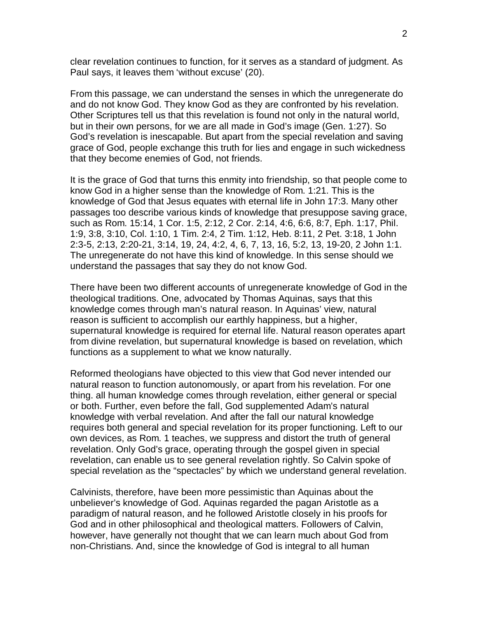clear revelation continues to function, for it serves as a standard of judgment. As Paul says, it leaves them 'without excuse' (20).

From this passage, we can understand the senses in which the unregenerate do and do not know God. They know God as they are confronted by his revelation. Other Scriptures tell us that this revelation is found not only in the natural world, but in their own persons, for we are all made in God's image (Gen. 1:27). So God's revelation is inescapable. But apart from the special revelation and saving grace of God, people exchange this truth for lies and engage in such wickedness that they become enemies of God, not friends.

It is the grace of God that turns this enmity into friendship, so that people come to know God in a higher sense than the knowledge of Rom. 1:21. This is the knowledge of God that Jesus equates with eternal life in John 17:3. Many other passages too describe various kinds of knowledge that presuppose saving grace, such as Rom. 15:14, 1 Cor. 1:5, 2:12, 2 Cor. 2:14, 4:6, 6:6, 8:7, Eph. 1:17, Phil. 1:9, 3:8, 3:10, Col. 1:10, 1 Tim. 2:4, 2 Tim. 1:12, Heb. 8:11, 2 Pet. 3:18, 1 John 2:3-5, 2:13, 2:20-21, 3:14, 19, 24, 4:2, 4, 6, 7, 13, 16, 5:2, 13, 19-20, 2 John 1:1. The unregenerate do not have this kind of knowledge. In this sense should we understand the passages that say they do not know God.

There have been two different accounts of unregenerate knowledge of God in the theological traditions. One, advocated by Thomas Aquinas, says that this knowledge comes through man's natural reason. In Aquinas' view, natural reason is sufficient to accomplish our earthly happiness, but a higher, supernatural knowledge is required for eternal life. Natural reason operates apart from divine revelation, but supernatural knowledge is based on revelation, which functions as a supplement to what we know naturally.

Reformed theologians have objected to this view that God never intended our natural reason to function autonomously, or apart from his revelation. For one thing. all human knowledge comes through revelation, either general or special or both. Further, even before the fall, God supplemented Adam's natural knowledge with verbal revelation. And after the fall our natural knowledge requires both general and special revelation for its proper functioning. Left to our own devices, as Rom. 1 teaches, we suppress and distort the truth of general revelation. Only God's grace, operating through the gospel given in special revelation, can enable us to see general revelation rightly. So Calvin spoke of special revelation as the "spectacles" by which we understand general revelation.

Calvinists, therefore, have been more pessimistic than Aquinas about the unbeliever's knowledge of God. Aquinas regarded the pagan Aristotle as a paradigm of natural reason, and he followed Aristotle closely in his proofs for God and in other philosophical and theological matters. Followers of Calvin, however, have generally not thought that we can learn much about God from non-Christians. And, since the knowledge of God is integral to all human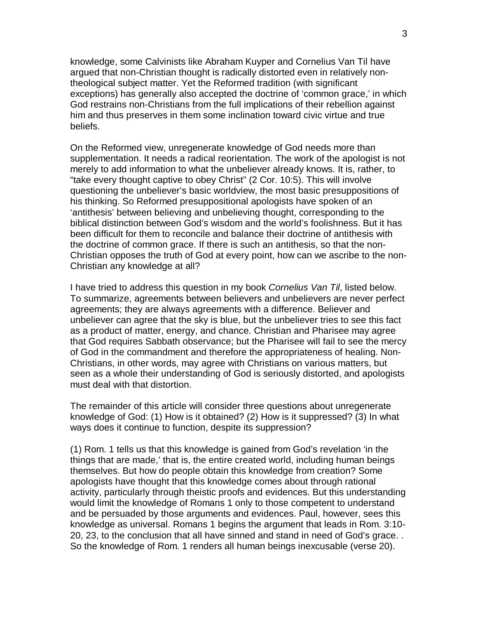knowledge, some Calvinists like Abraham Kuyper and Cornelius Van Til have argued that non-Christian thought is radically distorted even in relatively nontheological subject matter. Yet the Reformed tradition (with significant exceptions) has generally also accepted the doctrine of 'common grace,' in which God restrains non-Christians from the full implications of their rebellion against him and thus preserves in them some inclination toward civic virtue and true beliefs.

On the Reformed view, unregenerate knowledge of God needs more than supplementation. It needs a radical reorientation. The work of the apologist is not merely to add information to what the unbeliever already knows. It is, rather, to "take every thought captive to obey Christ" (2 Cor. 10:5). This will involve questioning the unbeliever's basic worldview, the most basic presuppositions of his thinking. So Reformed presuppositional apologists have spoken of an 'antithesis' between believing and unbelieving thought, corresponding to the biblical distinction between God's wisdom and the world's foolishness. But it has been difficult for them to reconcile and balance their doctrine of antithesis with the doctrine of common grace. If there is such an antithesis, so that the non-Christian opposes the truth of God at every point, how can we ascribe to the non-Christian any knowledge at all?

I have tried to address this question in my book *Cornelius Van Til*, listed below. To summarize, agreements between believers and unbelievers are never perfect agreements; they are always agreements with a difference. Believer and unbeliever can agree that the sky is blue, but the unbeliever tries to see this fact as a product of matter, energy, and chance. Christian and Pharisee may agree that God requires Sabbath observance; but the Pharisee will fail to see the mercy of God in the commandment and therefore the appropriateness of healing. Non-Christians, in other words, may agree with Christians on various matters, but seen as a whole their understanding of God is seriously distorted, and apologists must deal with that distortion.

The remainder of this article will consider three questions about unregenerate knowledge of God: (1) How is it obtained? (2) How is it suppressed? (3) In what ways does it continue to function, despite its suppression?

(1) Rom. 1 tells us that this knowledge is gained from God's revelation 'in the things that are made,' that is, the entire created world, including human beings themselves. But how do people obtain this knowledge from creation? Some apologists have thought that this knowledge comes about through rational activity, particularly through theistic proofs and evidences. But this understanding would limit the knowledge of Romans 1 only to those competent to understand and be persuaded by those arguments and evidences. Paul, however, sees this knowledge as universal. Romans 1 begins the argument that leads in Rom. 3:10- 20, 23, to the conclusion that all have sinned and stand in need of God's grace. . So the knowledge of Rom. 1 renders all human beings inexcusable (verse 20).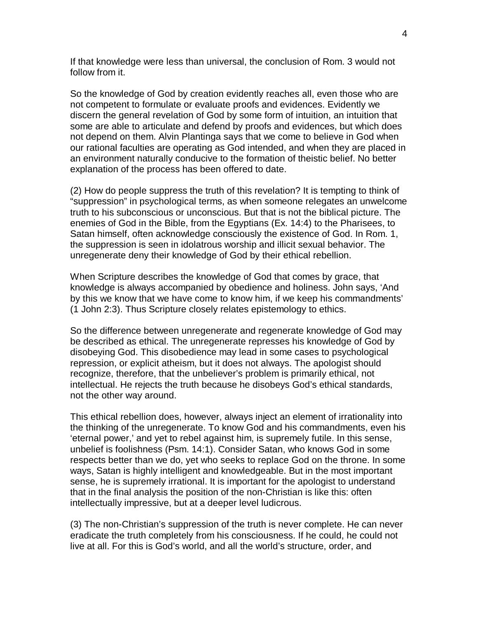If that knowledge were less than universal, the conclusion of Rom. 3 would not follow from it.

So the knowledge of God by creation evidently reaches all, even those who are not competent to formulate or evaluate proofs and evidences. Evidently we discern the general revelation of God by some form of intuition, an intuition that some are able to articulate and defend by proofs and evidences, but which does not depend on them. Alvin Plantinga says that we come to believe in God when our rational faculties are operating as God intended, and when they are placed in an environment naturally conducive to the formation of theistic belief. No better explanation of the process has been offered to date.

(2) How do people suppress the truth of this revelation? It is tempting to think of "suppression" in psychological terms, as when someone relegates an unwelcome truth to his subconscious or unconscious. But that is not the biblical picture. The enemies of God in the Bible, from the Egyptians (Ex. 14:4) to the Pharisees, to Satan himself, often acknowledge consciously the existence of God. In Rom. 1, the suppression is seen in idolatrous worship and illicit sexual behavior. The unregenerate deny their knowledge of God by their ethical rebellion.

When Scripture describes the knowledge of God that comes by grace, that knowledge is always accompanied by obedience and holiness. John says, 'And by this we know that we have come to know him, if we keep his commandments' (1 John 2:3). Thus Scripture closely relates epistemology to ethics.

So the difference between unregenerate and regenerate knowledge of God may be described as ethical. The unregenerate represses his knowledge of God by disobeying God. This disobedience may lead in some cases to psychological repression, or explicit atheism, but it does not always. The apologist should recognize, therefore, that the unbeliever's problem is primarily ethical, not intellectual. He rejects the truth because he disobeys God's ethical standards, not the other way around.

This ethical rebellion does, however, always inject an element of irrationality into the thinking of the unregenerate. To know God and his commandments, even his 'eternal power,' and yet to rebel against him, is supremely futile. In this sense, unbelief is foolishness (Psm. 14:1). Consider Satan, who knows God in some respects better than we do, yet who seeks to replace God on the throne. In some ways, Satan is highly intelligent and knowledgeable. But in the most important sense, he is supremely irrational. It is important for the apologist to understand that in the final analysis the position of the non-Christian is like this: often intellectually impressive, but at a deeper level ludicrous.

(3) The non-Christian's suppression of the truth is never complete. He can never eradicate the truth completely from his consciousness. If he could, he could not live at all. For this is God's world, and all the world's structure, order, and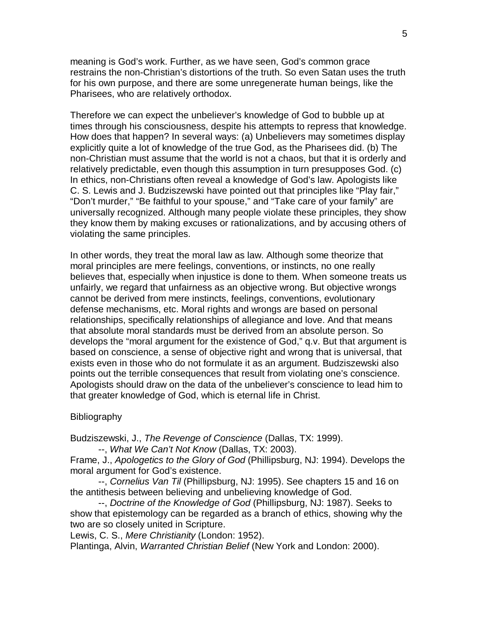meaning is God's work. Further, as we have seen, God's common grace restrains the non-Christian's distortions of the truth. So even Satan uses the truth for his own purpose, and there are some unregenerate human beings, like the Pharisees, who are relatively orthodox.

Therefore we can expect the unbeliever's knowledge of God to bubble up at times through his consciousness, despite his attempts to repress that knowledge. How does that happen? In several ways: (a) Unbelievers may sometimes display explicitly quite a lot of knowledge of the true God, as the Pharisees did. (b) The non-Christian must assume that the world is not a chaos, but that it is orderly and relatively predictable, even though this assumption in turn presupposes God. (c) In ethics, non-Christians often reveal a knowledge of God's law. Apologists like C. S. Lewis and J. Budziszewski have pointed out that principles like "Play fair," "Don't murder," "Be faithful to your spouse," and "Take care of your family" are universally recognized. Although many people violate these principles, they show they know them by making excuses or rationalizations, and by accusing others of violating the same principles.

In other words, they treat the moral law as law. Although some theorize that moral principles are mere feelings, conventions, or instincts, no one really believes that, especially when injustice is done to them. When someone treats us unfairly, we regard that unfairness as an objective wrong. But objective wrongs cannot be derived from mere instincts, feelings, conventions, evolutionary defense mechanisms, etc. Moral rights and wrongs are based on personal relationships, specifically relationships of allegiance and love. And that means that absolute moral standards must be derived from an absolute person. So develops the "moral argument for the existence of God," q.v. But that argument is based on conscience, a sense of objective right and wrong that is universal, that exists even in those who do not formulate it as an argument. Budziszewski also points out the terrible consequences that result from violating one's conscience. Apologists should draw on the data of the unbeliever's conscience to lead him to that greater knowledge of God, which is eternal life in Christ.

## Bibliography

Budziszewski, J., *The Revenge of Conscience* (Dallas, TX: 1999).

--, *What We Can't Not Know* (Dallas, TX: 2003).

Frame, J., *Apologetics to the Glory of God* (Phillipsburg, NJ: 1994). Develops the moral argument for God's existence.

--, *Cornelius Van Til* (Phillipsburg, NJ: 1995). See chapters 15 and 16 on the antithesis between believing and unbelieving knowledge of God.

--, *Doctrine of the Knowledge of God* (Phillipsburg, NJ: 1987). Seeks to show that epistemology can be regarded as a branch of ethics, showing why the two are so closely united in Scripture.

Lewis, C. S., *Mere Christianity* (London: 1952).

Plantinga, Alvin, *Warranted Christian Belief* (New York and London: 2000).